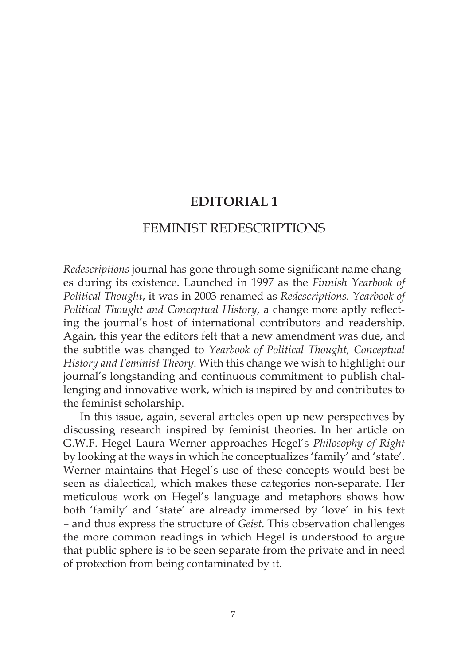# **EDITORIAL 1**

## FEMINIST REDESCRIPTIONS

*Redescriptions* journal has gone through some significant name changes during its existence. Launched in 1997 as the *Finnish Yearbook of Political Thought*, it was in 2003 renamed as *Redescriptions. Yearbook of Political Thought and Conceptual History*, a change more aptly reflecting the journal's host of international contributors and readership. Again, this year the editors felt that a new amendment was due, and the subtitle was changed to *Yearbook of Political Thought, Conceptual History and Feminist Theory*. With this change we wish to highlight our journal's longstanding and continuous commitment to publish challenging and innovative work, which is inspired by and contributes to the feminist scholarship.

In this issue, again, several articles open up new perspectives by discussing research inspired by feminist theories. In her article on G.W.F. Hegel Laura Werner approaches Hegel's *Philosophy of Right* by looking at the ways in which he conceptualizes 'family' and 'state'. Werner maintains that Hegel's use of these concepts would best be seen as dialectical, which makes these categories non-separate. Her meticulous work on Hegel's language and metaphors shows how both 'family' and 'state' are already immersed by 'love' in his text – and thus express the structure of *Geist*. This observation challenges the more common readings in which Hegel is understood to argue that public sphere is to be seen separate from the private and in need of protection from being contaminated by it.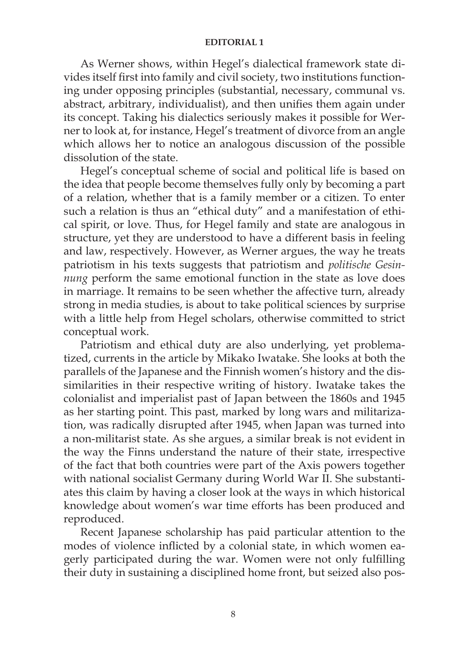#### **EDITORIAL 1**

As Werner shows, within Hegel's dialectical framework state divides itself first into family and civil society, two institutions functioning under opposing principles (substantial, necessary, communal vs. abstract, arbitrary, individualist), and then unifies them again under its concept. Taking his dialectics seriously makes it possible for Werner to look at, for instance, Hegel's treatment of divorce from an angle which allows her to notice an analogous discussion of the possible dissolution of the state.

Hegel's conceptual scheme of social and political life is based on the idea that people become themselves fully only by becoming a part of a relation, whether that is a family member or a citizen. To enter such a relation is thus an "ethical duty" and a manifestation of ethical spirit, or love. Thus, for Hegel family and state are analogous in structure, yet they are understood to have a different basis in feeling and law, respectively. However, as Werner argues, the way he treats patriotism in his texts suggests that patriotism and *politische Gesinnung* perform the same emotional function in the state as love does in marriage. It remains to be seen whether the affective turn, already strong in media studies, is about to take political sciences by surprise with a little help from Hegel scholars, otherwise committed to strict conceptual work.

Patriotism and ethical duty are also underlying, yet problematized, currents in the article by Mikako Iwatake. She looks at both the parallels of the Japanese and the Finnish women's history and the dissimilarities in their respective writing of history. Iwatake takes the colonialist and imperialist past of Japan between the 1860s and 1945 as her starting point. This past, marked by long wars and militarization, was radically disrupted after 1945, when Japan was turned into a non-militarist state. As she argues, a similar break is not evident in the way the Finns understand the nature of their state, irrespective of the fact that both countries were part of the Axis powers together with national socialist Germany during World War II. She substantiates this claim by having a closer look at the ways in which historical knowledge about women's war time efforts has been produced and reproduced.

Recent Japanese scholarship has paid particular attention to the modes of violence inflicted by a colonial state, in which women eagerly participated during the war. Women were not only fulfilling their duty in sustaining a disciplined home front, but seized also pos-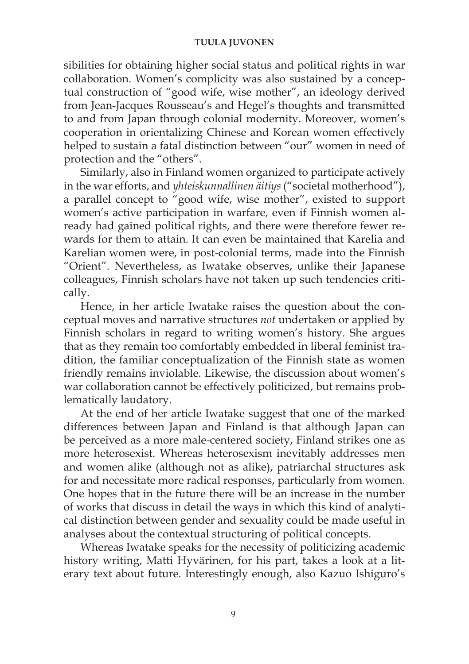#### **TUULA JUVONEN**

sibilities for obtaining higher social status and political rights in war collaboration. Women's complicity was also sustained by a conceptual construction of "good wife, wise mother", an ideology derived from Jean-Jacques Rousseau's and Hegel's thoughts and transmitted to and from Japan through colonial modernity. Moreover, women's cooperation in orientalizing Chinese and Korean women effectively helped to sustain a fatal distinction between "our" women in need of protection and the "others".

Similarly, also in Finland women organized to participate actively in the war efforts, and *yhteiskunnallinen äitiys* ("societal motherhood"), a parallel concept to "good wife, wise mother", existed to support women's active participation in warfare, even if Finnish women already had gained political rights, and there were therefore fewer rewards for them to attain. It can even be maintained that Karelia and Karelian women were, in post-colonial terms, made into the Finnish "Orient". Nevertheless, as Iwatake observes, unlike their Japanese colleagues, Finnish scholars have not taken up such tendencies critically.

Hence, in her article Iwatake raises the question about the conceptual moves and narrative structures *not* undertaken or applied by Finnish scholars in regard to writing women's history. She argues that as they remain too comfortably embedded in liberal feminist tradition, the familiar conceptualization of the Finnish state as women friendly remains inviolable. Likewise, the discussion about women's war collaboration cannot be effectively politicized, but remains problematically laudatory.

At the end of her article Iwatake suggest that one of the marked differences between Japan and Finland is that although Japan can be perceived as a more male-centered society, Finland strikes one as more heterosexist. Whereas heterosexism inevitably addresses men and women alike (although not as alike), patriarchal structures ask for and necessitate more radical responses, particularly from women. One hopes that in the future there will be an increase in the number of works that discuss in detail the ways in which this kind of analytical distinction between gender and sexuality could be made useful in analyses about the contextual structuring of political concepts.

Whereas Iwatake speaks for the necessity of politicizing academic history writing, Matti Hyvärinen, for his part, takes a look at a literary text about future. Interestingly enough, also Kazuo Ishiguro's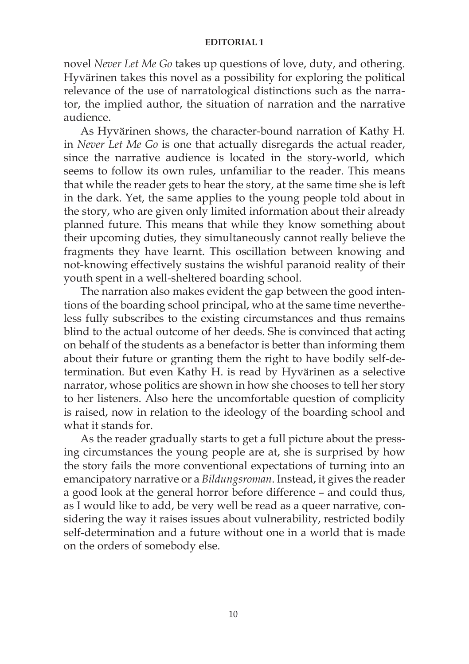#### **EDITORIAL 1**

novel *Never Let Me Go* takes up questions of love, duty, and othering. Hyvärinen takes this novel as a possibility for exploring the political relevance of the use of narratological distinctions such as the narrator, the implied author, the situation of narration and the narrative audience.

As Hyvärinen shows, the character-bound narration of Kathy H. in *Never Let Me Go* is one that actually disregards the actual reader, since the narrative audience is located in the story-world, which seems to follow its own rules, unfamiliar to the reader. This means that while the reader gets to hear the story, at the same time she is left in the dark. Yet, the same applies to the young people told about in the story, who are given only limited information about their already planned future. This means that while they know something about their upcoming duties, they simultaneously cannot really believe the fragments they have learnt. This oscillation between knowing and not-knowing effectively sustains the wishful paranoid reality of their youth spent in a well-sheltered boarding school.

The narration also makes evident the gap between the good intentions of the boarding school principal, who at the same time nevertheless fully subscribes to the existing circumstances and thus remains blind to the actual outcome of her deeds. She is convinced that acting on behalf of the students as a benefactor is better than informing them about their future or granting them the right to have bodily self-determination. But even Kathy H. is read by Hyvärinen as a selective narrator, whose politics are shown in how she chooses to tell her story to her listeners. Also here the uncomfortable question of complicity is raised, now in relation to the ideology of the boarding school and what it stands for.

As the reader gradually starts to get a full picture about the pressing circumstances the young people are at, she is surprised by how the story fails the more conventional expectations of turning into an emancipatory narrative or a *Bildungsroman*. Instead, it gives the reader a good look at the general horror before difference – and could thus, as I would like to add, be very well be read as a queer narrative, considering the way it raises issues about vulnerability, restricted bodily self-determination and a future without one in a world that is made on the orders of somebody else.